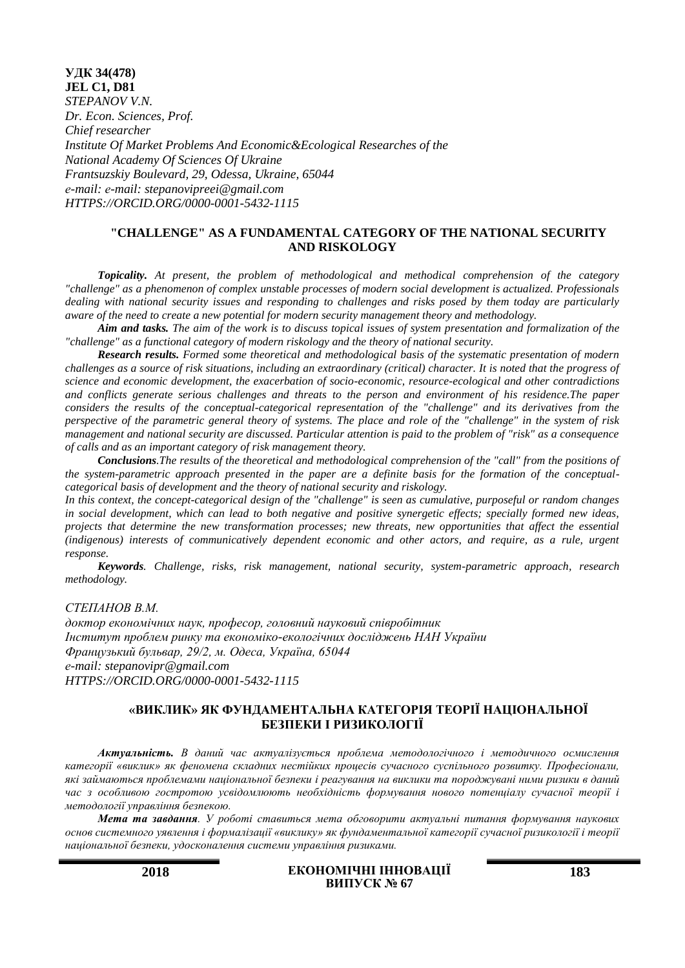**УДК 34(478) JEL C1, D81** *STEPANOV V.N. Dr. Econ. Sciences, Prof. Chief researcher Institute Of Market Problems And Economic&Ecological Researches of the National Academy Of Sciences Of Ukraine Frantsuzskiy Boulevard, 29, Odessa, Ukraine, 65044 е-mail: е-mail: stepanovipreei@gmail.com HTTPS://ORCID.ORG/0000-0001-5432-1115*

# **"CHALLENGE" AS A FUNDAMENTAL CATEGORY OF THE NATIONAL SECURITY AND RISKOLOGY**

*Topicality. At present, the problem of methodological and methodical comprehension of the category "challenge" as a phenomenon of complex unstable processes of modern social development is actualized. Professionals dealing with national security issues and responding to challenges and risks posed by them today are particularly aware of the need to create a new potential for modern security management theory and methodology.*

*Aim and tasks. The aim of the work is to discuss topical issues of system presentation and formalization of the "challenge" as a functional category of modern riskology and the theory of national security.*

*Research results. Formed some theoretical and methodological basis of the systematic presentation of modern challenges as a source of risk situations, including an extraordinary (critical) character. It is noted that the progress of science and economic development, the exacerbation of socio-economic, resource-ecological and other contradictions and conflicts generate serious challenges and threats to the person and environment of his residence.The paper considers the results of the conceptual-categorical representation of the "challenge" and its derivatives from the perspective of the parametric general theory of systems. The place and role of the "challenge" in the system of risk management and national security are discussed. Particular attention is paid to the problem of "risk" as a consequence of calls and as an important category of risk management theory.*

*Conclusions.The results of the theoretical and methodological comprehension of the "call" from the positions of the system-parametric approach presented in the paper are a definite basis for the formation of the conceptualcategorical basis of development and the theory of national security and riskology.*

*In this context, the concept-categorical design of the "challenge" is seen as cumulative, purposeful or random changes in social development, which can lead to both negative and positive synergetic effects; specially formed new ideas, projects that determine the new transformation processes; new threats, new opportunities that affect the essential (indigenous) interests of communicatively dependent economic and other actors, and require, as a rule, urgent response.*

*Keywords. Challenge, risks, risk management, national security, system-parametric approach, research methodology.*

*СТЕПАНОВ В.М. доктор економічних наук, професор, головний науковий співробітник Інститут проблем ринку та економіко-екологічних досліджень НАН України Французький бульвар, 29/2, м. Одеса, Україна, 65044 е-mail: stepanovipr@gmail.com HTTPS://ORCID.ORG/0000-0001-5432-1115*

# **«ВИКЛИК» ЯК ФУНДАМЕНТАЛЬНА КАТЕГОРІЯ ТЕОРІЇ НАЦІОНАЛЬНОЇ БЕЗПЕКИ І РИЗИКОЛОГІЇ**

*Актуальність. В даний час актуалізується проблема методологічного і методичного осмислення категорії «виклик» як феномена складних нестійких процесів сучасного суспільного розвитку. Професіонали, які займаються проблемами національної безпеки і реагування на виклики та породжувані ними ризики в даний час з особливою гостротою усвідомлюють необхідність формування нового потенціалу сучасної теорії і методології управління безпекою.*

*Мета та завдання. У роботі ставиться мета обговорити актуальні питання формування наукових основ системного уявлення і формалізації «виклику» як фундаментальної категорії сучасної ризикології і теорії національної безпеки, удосконалення системи управління ризиками.*

**2018 ЕКОНОМІЧНІ ІННОВАЦІЇ ВИПУСК № 67**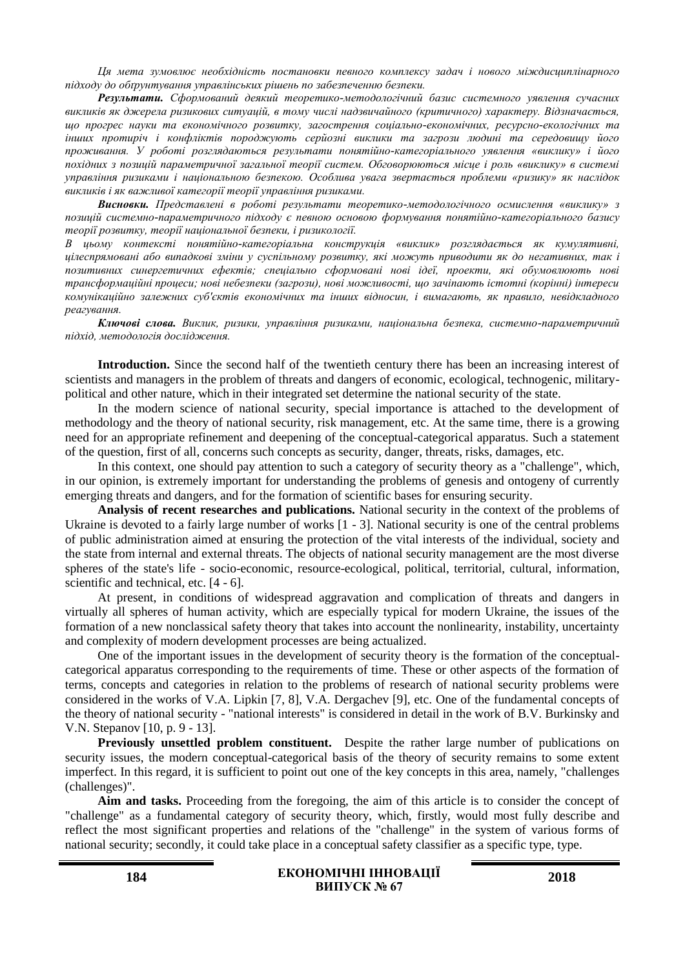*Ця мета зумовлює необхідність постановки певного комплексу задач і нового міждисциплінарного підходу до обґрунтування управлінських рішень по забезпеченню безпеки.*

*Результати. Сформований деякий теоретико-методологічний базис системного уявлення сучасних викликів як джерела ризикових ситуацій, в тому числі надзвичайного (критичного) характеру. Відзначається, що прогрес науки та економічного розвитку, загострення соціально-економічних, ресурсно-екологічних та інших протиріч і конфліктів породжують серйозні виклики та загрози людині та середовищу його проживання. У роботі розглядаються результати понятійно-категоріального уявлення «виклику» і його похідних з позицій параметричної загальної теорії систем. Обговорюються місце і роль «виклику» в системі управління ризиками і національною безпекою. Особлива увага звертається проблеми «ризику» як наслідок викликів і як важливої категорії теорії управління ризиками.*

*Висновки. Представлені в роботі результати теоретико-методологічного осмислення «виклику» з позицій системно-параметричного підходу є певною основою формування понятійно-категоріального базису теорії розвитку, теорії національної безпеки, і ризикології.*

*В цьому контексті понятійно-категоріальна конструкція «виклик» розглядається як кумулятивні, цілеспрямовані або випадкові зміни у суспільному розвитку, які можуть приводити як до негативних, так і позитивних синергетичних ефектів; спеціально сформовані нові ідеї, проекти, які обумовлюють нові трансформаційні процеси; нові небезпеки (загрози), нові можливості, що зачіпають істотні (корінні) інтереси комунікаційно залежних суб'єктів економічних та інших відносин, і вимагають, як правило, невідкладного реагування.*

*Ключові слова. Виклик, ризики, управління ризиками, національна безпека, системно-параметричний підхід, методологія дослідження.*

**Introduction.** Since the second half of the twentieth century there has been an increasing interest of scientists and managers in the problem of threats and dangers of economic, ecological, technogenic, militarypolitical and other nature, which in their integrated set determine the national security of the state.

In the modern science of national security, special importance is attached to the development of methodology and the theory of national security, risk management, etc. At the same time, there is a growing need for an appropriate refinement and deepening of the conceptual-categorical apparatus. Such a statement of the question, first of all, concerns such concepts as security, danger, threats, risks, damages, etc.

In this context, one should pay attention to such a category of security theory as a "challenge", which, in our opinion, is extremely important for understanding the problems of genesis and ontogeny of currently emerging threats and dangers, and for the formation of scientific bases for ensuring security.

**Analysis of recent researches and publications.** National security in the context of the problems of Ukraine is devoted to a fairly large number of works [1 - 3]. National security is one of the central problems of public administration aimed at ensuring the protection of the vital interests of the individual, society and the state from internal and external threats. The objects of national security management are the most diverse spheres of the state's life - socio-economic, resource-ecological, political, territorial, cultural, information, scientific and technical, etc. [4 - 6].

At present, in conditions of widespread aggravation and complication of threats and dangers in virtually all spheres of human activity, which are especially typical for modern Ukraine, the issues of the formation of a new nonclassical safety theory that takes into account the nonlinearity, instability, uncertainty and complexity of modern development processes are being actualized.

One of the important issues in the development of security theory is the formation of the conceptualcategorical apparatus corresponding to the requirements of time. These or other aspects of the formation of terms, concepts and categories in relation to the problems of research of national security problems were considered in the works of V.А. Lipkin [7, 8], V.A. Dergachev [9], etc. One of the fundamental concepts of the theory of national security - "national interests" is considered in detail in the work of B.V. Burkinsky and V.N. Stepanov [10, p. 9 - 13].

**Previously unsettled problem constituent.** Despite the rather large number of publications on security issues, the modern conceptual-categorical basis of the theory of security remains to some extent imperfect. In this regard, it is sufficient to point out one of the key concepts in this area, namely, "challenges (challenges)".

Aim and tasks. Proceeding from the foregoing, the aim of this article is to consider the concept of "challenge" as a fundamental category of security theory, which, firstly, would most fully describe and reflect the most significant properties and relations of the "challenge" in the system of various forms of national security; secondly, it could take place in a conceptual safety classifier as a specific type, type.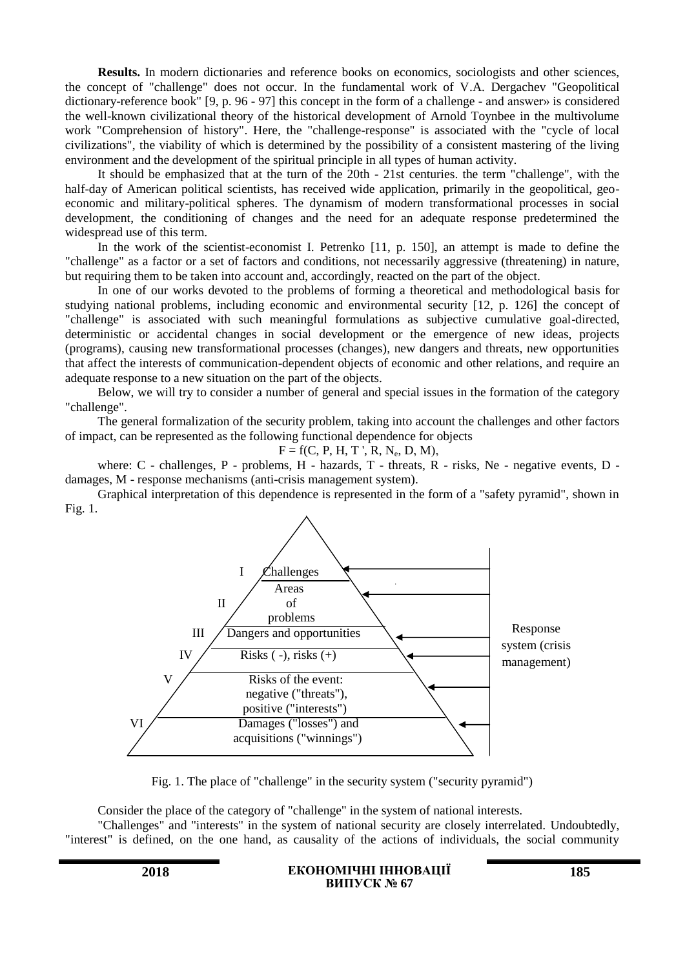**Results.** In modern dictionaries and reference books on economics, sociologists and other sciences, the concept of "challenge" does not occur. In the fundamental work of V.A. Dergachev "Geopolitical dictionary-reference book" [9, p. 96 - 97] this concept in the form of a challenge - and answer» is considered the well-known civilizational theory of the historical development of Arnold Toynbee in the multivolume work "Comprehension of history". Here, the "challenge-response" is associated with the "cycle of local civilizations", the viability of which is determined by the possibility of a consistent mastering of the living environment and the development of the spiritual principle in all types of human activity.

It should be emphasized that at the turn of the 20th - 21st centuries. the term "challenge", with the half-day of American political scientists, has received wide application, primarily in the geopolitical, geoeconomic and military-political spheres. The dynamism of modern transformational processes in social development, the conditioning of changes and the need for an adequate response predetermined the widespread use of this term.

In the work of the scientist-economist I. Petrenko [11, p. 150], an attempt is made to define the "challenge" as a factor or a set of factors and conditions, not necessarily aggressive (threatening) in nature, but requiring them to be taken into account and, accordingly, reacted on the part of the object.

In one of our works devoted to the problems of forming a theoretical and methodological basis for studying national problems, including economic and environmental security [12, p. 126] the concept of "challenge" is associated with such meaningful formulations as subjective cumulative goal-directed, deterministic or accidental changes in social development or the emergence of new ideas, projects (programs), causing new transformational processes (changes), new dangers and threats, new opportunities that affect the interests of communication-dependent objects of economic and other relations, and require an adequate response to a new situation on the part of the objects.

Below, we will try to consider a number of general and special issues in the formation of the category "challenge".

The general formalization of the security problem, taking into account the challenges and other factors of impact, can be represented as the following functional dependence for objects

 $F = f(C, P, H, T', R, N_e, D, M),$ 

where: C - challenges, P - problems, H - hazards, T - threats, R - risks, Ne - negative events, D damages, M - response mechanisms (anti-crisis management system).

Graphical interpretation of this dependence is represented in the form of a "safety pyramid", shown in Fig. 1.



Fig. 1. The place of "challenge" in the security system ("security pyramid")

Consider the place of the category of "challenge" in the system of national interests.

"Challenges" and "interests" in the system of national security are closely interrelated. Undoubtedly, "interest" is defined, on the one hand, as causality of the actions of individuals, the social community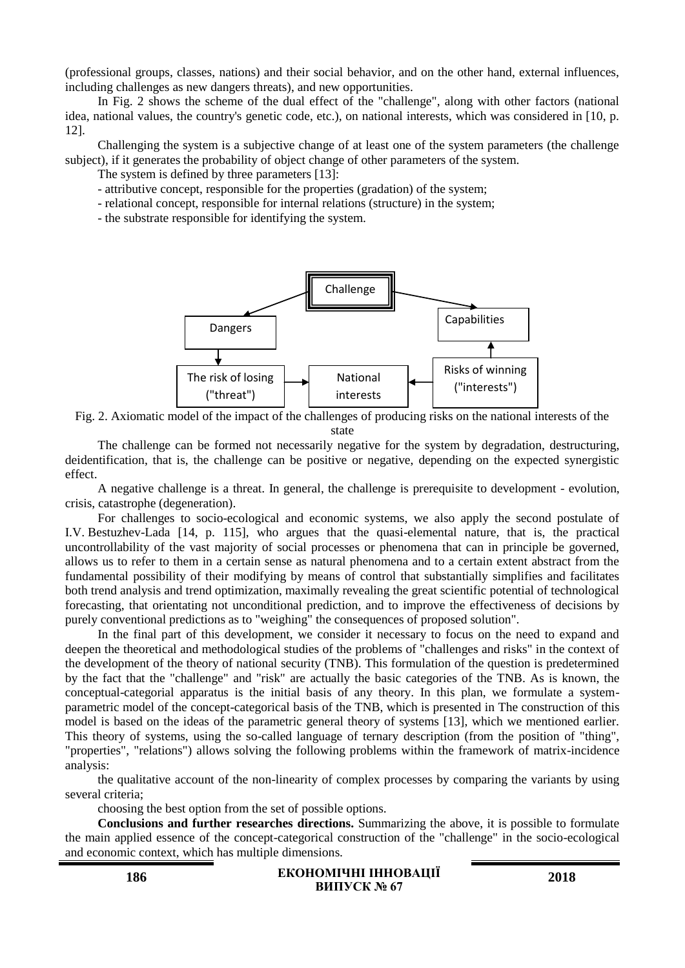(professional groups, classes, nations) and their social behavior, and on the other hand, external influences, including challenges as new dangers threats), and new opportunities.

In Fig. 2 shows the scheme of the dual effect of the "challenge", along with other factors (national idea, national values, the country's genetic code, etc.), on national interests, which was considered in [10, p. 12].

Challenging the system is a subjective change of at least one of the system parameters (the challenge subject), if it generates the probability of object change of other parameters of the system.

The system is defined by three parameters [13]:

- attributive concept, responsible for the properties (gradation) of the system;

- relational concept, responsible for internal relations (structure) in the system;

- the substrate responsible for identifying the system.



Fig. 2. Axiomatic model of the impact of the challenges of producing risks on the national interests of the state

The challenge can be formed not necessarily negative for the system by degradation, destructuring, deidentification, that is, the challenge can be positive or negative, depending on the expected synergistic effect.

A negative challenge is a threat. In general, the challenge is prerequisite to development - evolution, crisis, catastrophe (degeneration).

For challenges to socio-ecological and economic systems, we also apply the second postulate of I.V. Bestuzhev-Lada [14, p. 115], who argues that the quasi-elemental nature, that is, the practical uncontrollability of the vast majority of social processes or phenomena that can in principle be governed, allows us to refer to them in a certain sense as natural phenomena and to a certain extent abstract from the fundamental possibility of their modifying by means of control that substantially simplifies and facilitates both trend analysis and trend optimization, maximally revealing the great scientific potential of technological forecasting, that orientating not unconditional prediction, and to improve the effectiveness of decisions by purely conventional predictions as to "weighing" the consequences of proposed solution".

In the final part of this development, we consider it necessary to focus on the need to expand and deepen the theoretical and methodological studies of the problems of "challenges and risks" in the context of the development of the theory of national security (TNB). This formulation of the question is predetermined by the fact that the "challenge" and "risk" are actually the basic categories of the TNB. As is known, the conceptual-categorial apparatus is the initial basis of any theory. In this plan, we formulate a systemparametric model of the concept-categorical basis of the TNB, which is presented in The construction of this model is based on the ideas of the parametric general theory of systems [13], which we mentioned earlier. This theory of systems, using the so-called language of ternary description (from the position of "thing", "properties", "relations") allows solving the following problems within the framework of matrix-incidence analysis:

the qualitative account of the non-linearity of complex processes by comparing the variants by using several criteria;

choosing the best option from the set of possible options.

**Conclusions and further researches directions.** Summarizing the above, it is possible to formulate the main applied essence of the concept-categorical construction of the "challenge" in the socio-ecological and economic context, which has multiple dimensions.

#### **186 ЕКОНОМІЧНІ ІННОВАЦІЇ ВИПУСК № 67 <sup>2018</sup>**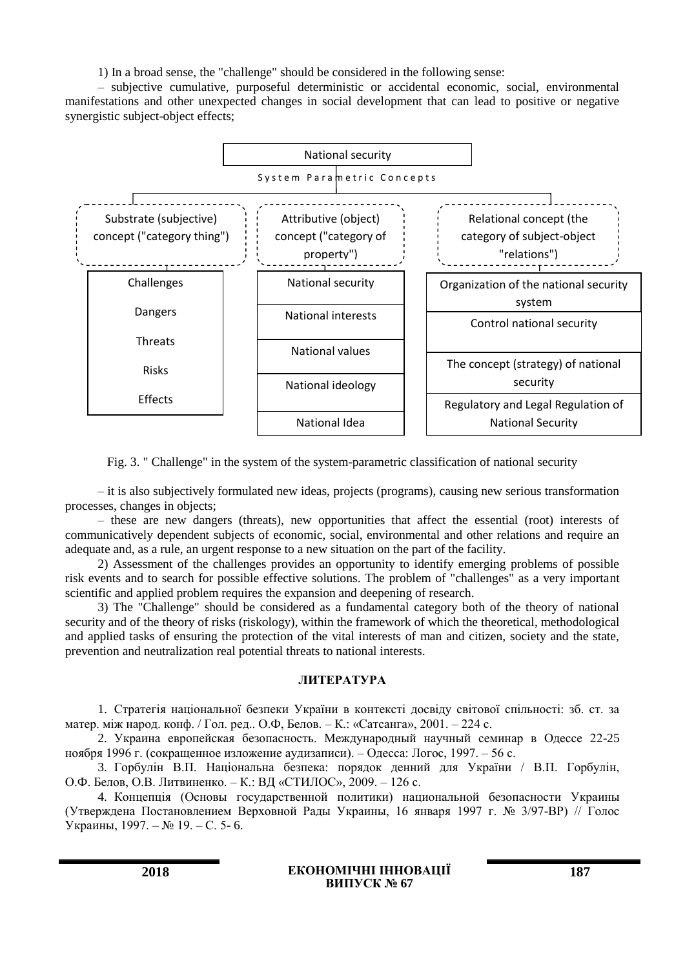1) In a broad sense, the "challenge" should be considered in the following sense:

– subjective cumulative, purposeful deterministic or accidental economic, social, environmental manifestations and other unexpected changes in social development that can lead to positive or negative synergistic subject-object effects;



Fig. 3. " Challenge" in the system of the system-parametric classification of national security

- it is also subjectively formulated new ideas, projects (programs), causing new serious transformation processes, changes in objects;

– these are new dangers (threats), new opportunities that affect the essential (root) interests of communicatively dependent subjects of economic, social, environmental and other relations and require an adequate and, as a rule, an urgent response to a new situation on the part of the facility.

2) Assessment of the challenges provides an opportunity to identify emerging problems of possible risk events and to search for possible effective solutions. The problem of "challenges" as a very important scientific and applied problem requires the expansion and deepening of research.

3) The "Challenge" should be considered as a fundamental category both of the theory of national security and of the theory of risks (riskology), within the framework of which the theoretical, methodological and applied tasks of ensuring the protection of the vital interests of man and citizen, society and the state, prevention and neutralization real potential threats to national interests.

## **ЛИТЕРАТУРА**

1. Стратегія національної безпеки України в контексті досвіду світової спільності: зб. ст. за матер. між народ. конф. / Гол. ред.. О.Ф, Белов. – К.: «Сатсанга», 2001. – 224 с.

2. Украина европейская безопасность. Международный научный семинар в Одессе 22-25 ноября 1996 г. (сокращенное изложение аудизаписи). – Одесса: Логос, 1997. – 56 с.

3. Горбулін В.П. Національна безпека: порядок денний для України / В.П. Горбулін, О.Ф. Белов, О.В. Литвиненко. – К.: ВД «СТИЛОС», 2009. – 126 с.

4. Концепція (Основы государственной политики) национальной безопасности Украины (Утверждена Постановлением Верховной Рады Украины, 16 января 1997 г. № 3/97-ВР) // Голос Украины, 1997. – № 19. – С. 5- 6.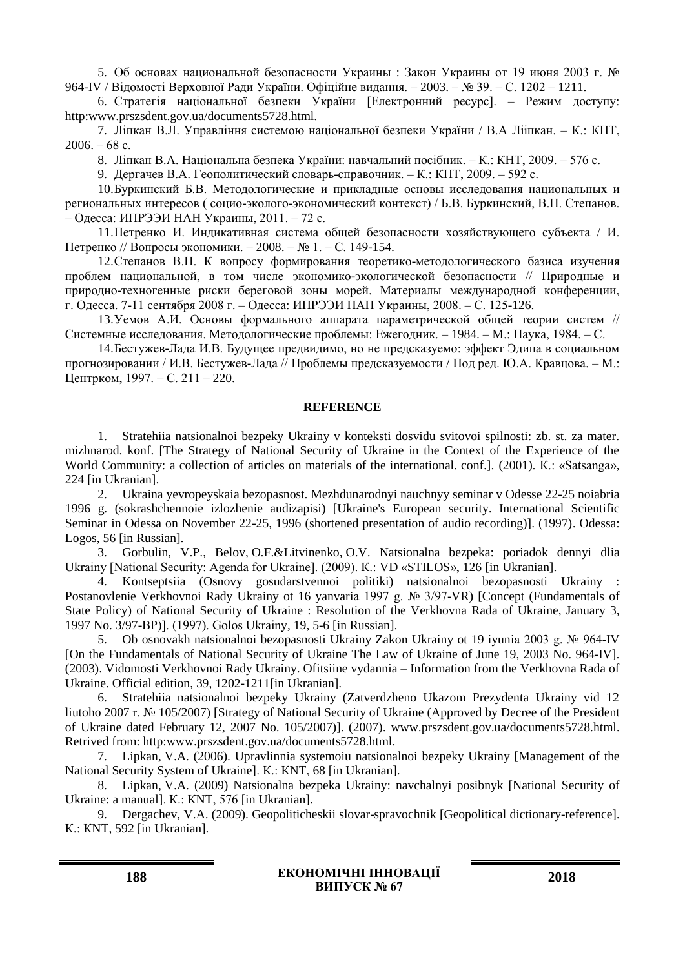5. Об основах национальной безопасности Украины : Закон Украины от 19 июня 2003 г. № 964-IV / Відомості Верховної Ради України. Офіційне видання. – 2003. – № 39. – С. 1202 – 1211.

6. Стратегія національної безпеки України [Електронний ресурс]. – Режим доступу: http:www.prszsdent.gov.ua/documents5728.html.

7. Ліпкан В.Л. Управління системою національної безпеки України / В.А Лііпкан. – К.: КНТ,  $2006. - 68$  c.

8. Ліпкан В.А. Національна безпека України: навчальний посібник. – К.: КНТ, 2009. – 576 с.

9. Дергачев В.А. Геополитический словарь-справочник. – К.: КНТ, 2009. – 592 с.

10.Буркинский Б.В. Методологические и прикладные основы исследования национальных и региональных интересов ( социо-эколого-экономический контекст) / Б.В. Буркинский, В.Н. Степанов. – Одесса: ИПРЭЭИ НАН Украины, 2011. – 72 с.

11.Петренко И. Индикативная система общей безопасности хозяйствующего субъекта / И. Петренко // Вопросы экономики. – 2008. – № 1. – С. 149-154.

12.Степанов В.Н. К вопросу формирования теоретико-методологического базиса изучения проблем национальной, в том числе экономико-экологической безопасности // Природные и природно-техногенные риски береговой зоны морей. Материалы международной конференции, г. Одесса. 7-11 сентября 2008 г. – Одесса: ИПРЭЭИ НАН Украины, 2008. – С. 125-126.

13.Уемов А.И. Основы формального аппарата параметрической общей теории систем // Системные исследования. Методологические проблемы: Ежегодник. – 1984. – М.: Наука, 1984. – С.

14.Бестужев-Лада И.В. Будущее предвидимо, но не предсказуемо: эффект Эдипа в социальном прогнозировании / И.В. Бестужев-Лада // Проблемы предсказуемости / Под ред. Ю.А. Кравцова. – М.: Центрком, 1997. – С. 211 – 220.

## **REFERENCE**

1. Stratehiia natsionalnoi bezpeky Ukrainy v konteksti dosvidu svitovoi spilnosti: zb. st. za mater. mizhnarod. konf. [The Strategy of National Security of Ukraine in the Context of the Experience of the World Community: a collection of articles on materials of the international. conf.]. (2001). К.: «Satsanga», 224 [in Ukranian].

2. Ukraina yevropeyskaia bezopasnost. Mezhdunarodnyi nauchnyy seminar v Odesse 22-25 noiabria 1996 g. (sokrashchennoie izlozhenie audizapisi) [Ukraine's European security. International Scientific Seminar in Odessa on November 22-25, 1996 (shortened presentation of audio recording)]. (1997). Odessa: Logos, 56 [in Russian].

3. Gorbulin, V.P., Belov, O.F.&Litvinenko, O.V. Natsionalna bezpeka: poriadok dennyi dlia Ukrainy [National Security: Agenda for Ukraine]. (2009). К.: VD «STILOS», 126 [in Ukranian].

4. Kontseptsiia (Osnovy gosudarstvennoi politiki) natsionalnoi bezopasnosti Ukrainy : Postanovlenie Verkhovnoi Rady Ukrainy ot 16 yanvaria 1997 g. № 3/97-VR) [Concept (Fundamentals of State Policy) of National Security of Ukraine : Resolution of the Verkhovna Rada of Ukraine, January 3, 1997 No. 3/97-ВР)]. (1997). Golos Ukrainy, 19, 5-6 [in Russian].

5. Ob osnovakh natsionalnoi bezopasnosti Ukrainy Zakon Ukrainy ot 19 iyunia 2003 g. № 964-IV [On the Fundamentals of National Security of Ukraine The Law of Ukraine of June 19, 2003 No. 964-IV]. (2003). Vidomosti Verkhovnoi Rady Ukrainy. Ofitsiine vydannia – Information from the Verkhovna Rada of Ukraine. Official edition, 39, 1202-1211[in Ukranian].

6. Stratehiia natsionalnoi bezpeky Ukrainy (Zatverdzheno Ukazom Prezydenta Ukrainy vid 12 liutoho 2007 r. № 105/2007) [Strategy of National Security of Ukraine (Approved by Decree of the President of Ukraine dated February 12, 2007 No. 105/2007)]. (2007). www.prszsdent.gov.ua/documents5728.html. Retrived from: http:www.prszsdent.gov.ua/documents5728.html.

7. Lipkan, V.A. (2006). Upravlinnia systemoiu natsionalnoi bezpeky Ukrainy [Management of the National Security System of Ukraine]. К.: КNТ, 68 [in Ukranian].

8. Lipkan, V.A. (2009) Natsionalna bezpeka Ukrainy: navchalnyi posibnyk [National Security of Ukraine: a manual]. К.: КNТ, 576 [in Ukranian].

9. Dergachev, V.A. (2009). Geopoliticheskii slovar-spravochnik [Geopolitical dictionary-reference]. К.: КNТ, 592 [in Ukranian].